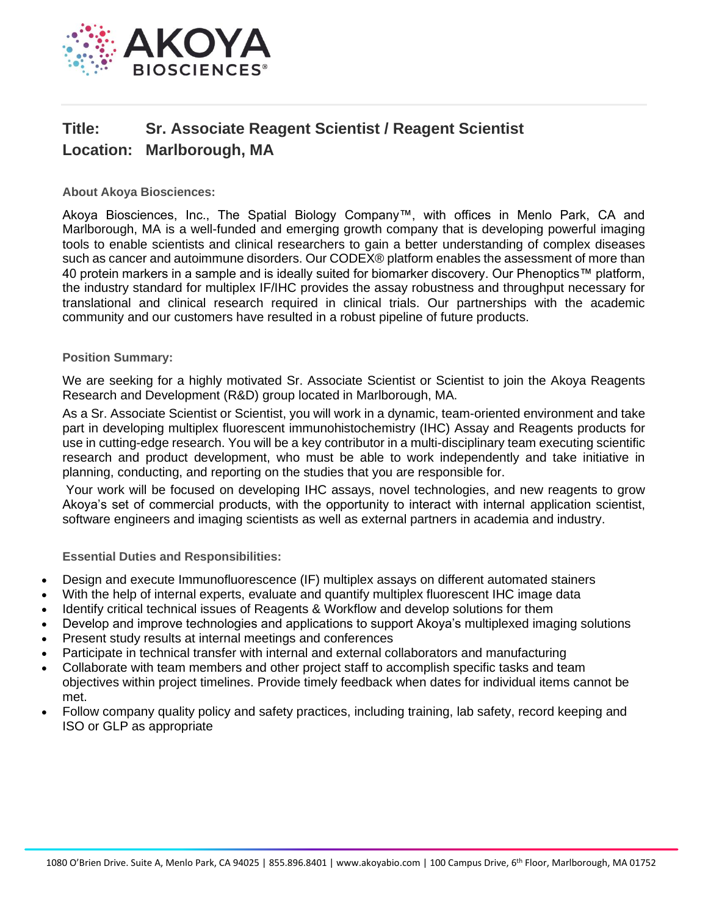

## **Title: Sr. Associate Reagent Scientist / Reagent Scientist Location: Marlborough, MA**

**About Akoya Biosciences:**

Akoya Biosciences, Inc., The Spatial Biology Company™, with offices in Menlo Park, CA and Marlborough, MA is a well-funded and emerging growth company that is developing powerful imaging tools to enable scientists and clinical researchers to gain a better understanding of complex diseases such as cancer and autoimmune disorders. Our CODEX® platform enables the assessment of more than 40 protein markers in a sample and is ideally suited for biomarker discovery. Our Phenoptics™ platform, the industry standard for multiplex IF/IHC provides the assay robustness and throughput necessary for translational and clinical research required in clinical trials. Our partnerships with the academic community and our customers have resulted in a robust pipeline of future products.

## **Position Summary:**

We are seeking for a highly motivated Sr. Associate Scientist or Scientist to join the Akoya Reagents Research and Development (R&D) group located in Marlborough, MA.

As a Sr. Associate Scientist or Scientist, you will work in a dynamic, team-oriented environment and take part in developing multiplex fluorescent immunohistochemistry (IHC) Assay and Reagents products for use in cutting-edge research. You will be a key contributor in a multi-disciplinary team executing scientific research and product development, who must be able to work independently and take initiative in planning, conducting, and reporting on the studies that you are responsible for.

Your work will be focused on developing IHC assays, novel technologies, and new reagents to grow Akoya's set of commercial products, with the opportunity to interact with internal application scientist, software engineers and imaging scientists as well as external partners in academia and industry.

**Essential Duties and Responsibilities:**

- Design and execute Immunofluorescence (IF) multiplex assays on different automated stainers
- With the help of internal experts, evaluate and quantify multiplex fluorescent IHC image data
- Identify critical technical issues of Reagents & Workflow and develop solutions for them
- Develop and improve technologies and applications to support Akoya's multiplexed imaging solutions
- Present study results at internal meetings and conferences
- Participate in technical transfer with internal and external collaborators and manufacturing
- Collaborate with team members and other project staff to accomplish specific tasks and team objectives within project timelines. Provide timely feedback when dates for individual items cannot be met.
- Follow company quality policy and safety practices, including training, lab safety, record keeping and ISO or GLP as appropriate